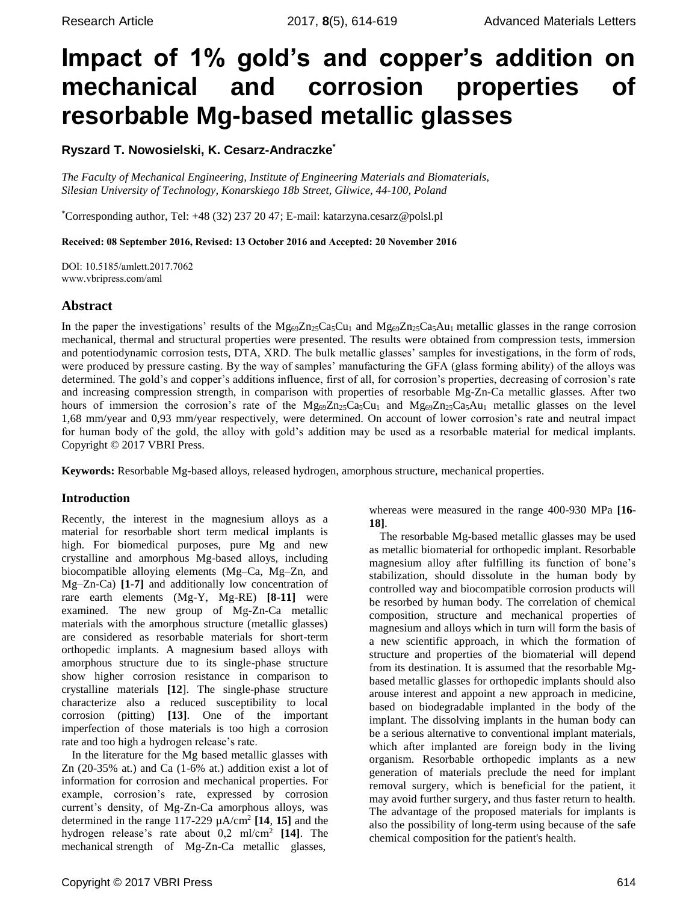# **Impact of 1% gold's and copper's addition on mechanical and corrosion properties of resorbable Mg-based metallic glasses**

# **Ryszard T. Nowosielski, K. Cesarz-Andraczke\***

*The Faculty of Mechanical Engineering, Institute of Engineering Materials and Biomaterials, Silesian University of Technology, Konarskiego 18b Street, Gliwice, 44-100, Poland*

\*Corresponding author, Tel: +48 (32) 237 20 47; E-mail: [katarzyna.cesarz@polsl.pl](mailto:katarzyna.cesarz@polsl.pl)

Received: 08 September 2016, Revised: 13 October 2016 and Accepted: 20 November 2016

DOI: 10.5185/amlett.2017.7062 www.vbripress.com/aml

## **Abstract**

In the paper the investigations' results of the  $Mg_{69}Zn_{25}Ca_5Cu_1$  and  $Mg_{69}Zn_{25}Ca_5Au_1$  metallic glasses in the range corrosion mechanical, thermal and structural properties were presented. The results were obtained from compression tests, immersion and potentiodynamic corrosion tests, DTA, XRD. The bulk metallic glasses' samples for investigations, in the form of rods, were produced by pressure casting. By the way of samples' manufacturing the GFA (glass forming ability) of the alloys was determined. The gold's and copper's additions influence, first of all, for corrosion's properties, decreasing of corrosion's rate and increasing compression strength, in comparison with properties of resorbable Mg-Zn-Ca metallic glasses. After two hours of immersion the corrosion's rate of the  $Mg_{69}Zn_{25}Ca_5Cu_1$  and  $Mg_{69}Zn_{25}Ca_5Au_1$  metallic glasses on the level 1,68 mm/year and 0,93 mm/year respectively, were determined. On account of lower corrosion's rate and neutral impact for human body of the gold, the alloy with gold's addition may be used as a resorbable material for medical implants. Copyright © 2017 VBRI Press.

**Keywords:** Resorbable Mg-based alloys, released hydrogen, amorphous structure, mechanical properties.

## **Introduction**

Recently, the interest in the magnesium alloys as a material for resorbable short term medical implants is high. For biomedical purposes, pure Mg and new crystalline and amorphous Mg-based alloys, including biocompatible alloying elements (Mg–Ca, Mg–Zn, and Mg–Zn-Ca) **[1-7]** and additionally low concentration of rare earth elements (Mg-Y, Mg-RE) **[8-11]** were examined. The new group of Mg-Zn-Ca metallic materials with the amorphous structure (metallic glasses) are considered as resorbable materials for short-term orthopedic implants. A magnesium based alloys with amorphous structure due to its single-phase structure show higher corrosion resistance in comparison to crystalline materials **[12**]. The single-phase structure characterize also a reduced susceptibility to local corrosion (pitting) **[13]**. One of the important imperfection of those materials is too high a corrosion rate and too high a hydrogen release's rate.

In the literature for the Mg based metallic glasses with Zn (20-35% at.) and Ca (1-6% at.) addition exist a lot of information for corrosion and mechanical properties. For example, corrosion's rate, expressed by corrosion current's density, of Mg-Zn-Ca amorphous alloys, was determined in the range  $117-229 \mu A/cm^2$  [14, 15] and the hydrogen release's rate about 0,2 ml/cm<sup>2</sup> **[14]**. The mechanical strength of Mg-Zn-Ca metallic glasses,

whereas were measured in the range 400-930 MPa **[16- 18]**.

The resorbable Mg-based metallic glasses may be used as metallic biomaterial for orthopedic implant. Resorbable magnesium alloy after fulfilling its function of bone's stabilization, should dissolute in the human body by controlled way and biocompatible corrosion products will be resorbed by human body. The correlation of chemical composition, structure and mechanical properties of magnesium and alloys which in turn will form the basis of a new scientific approach, in which the formation of structure and properties of the biomaterial will depend from its destination. It is assumed that the resorbable Mgbased metallic glasses for orthopedic implants should also arouse interest and appoint a new approach in medicine, based on biodegradable implanted in the body of the implant. The dissolving implants in the human body can be a serious alternative to conventional implant materials, which after implanted are foreign body in the living organism. Resorbable orthopedic implants as a new generation of materials preclude the need for implant removal surgery, which is beneficial for the patient, it may avoid further surgery, and thus faster return to health. The advantage of the proposed materials for implants is also the possibility of long-term using because of the safe chemical composition for the patient's health.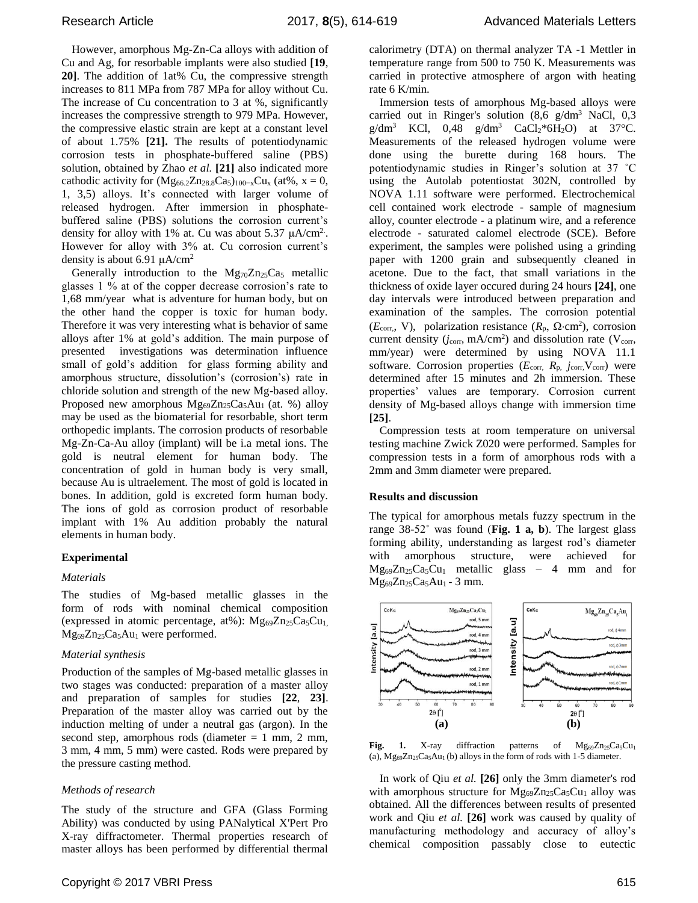However, amorphous Mg-Zn-Ca alloys with addition of Cu and Ag, for resorbable implants were also studied **[19**, **20]**. The addition of 1at% Cu, the compressive strength increases to 811 MPa from 787 MPa for alloy without Cu. The increase of Cu concentration to 3 at %, significantly increases the compressive strength to 979 MPa. However, the compressive elastic strain are kept at a constant level of about 1.75% **[21].** The results of potentiodynamic corrosion tests in phosphate-buffered saline (PBS) solution, obtained by Zhao *et al.* **[21]** also indicated more cathodic activity for  $(Mg_{66.2}Zn_{28.8}Ca_5)_{100-x}Cu_x$  (at%, x = 0, 1, 3,5) alloys. It's connected with larger volume of released hydrogen. After immersion in phosphatebuffered saline (PBS) solutions the corrosion current's density for alloy with 1% at. Cu was about 5.37  $\mu$ A/cm<sup>2</sup>. However for alloy with 3% at. Cu corrosion current's density is about 6.91  $\mu$ A/cm<sup>2</sup>

Generally introduction to the  $Mg_{70}Zn_{25}Ca<sub>5</sub>$  metallic glasses 1 % at of the copper decrease corrosion's rate to 1,68 mm/year what is adventure for human body, but on the other hand the copper is toxic for human body. Therefore it was very interesting what is behavior of same alloys after 1% at gold's addition. The main purpose of presented investigations was determination influence small of gold's addition for glass forming ability and amorphous structure, dissolution's (corrosion's) rate in chloride solution and strength of the new Mg-based alloy. Proposed new amorphous  $Mg_{69}Zn_{25}Ca_{5}Au_{1}$  (at. %) alloy may be used as the biomaterial for resorbable, short term orthopedic implants. The corrosion products of resorbable Mg-Zn-Ca-Au alloy (implant) will be i.a metal ions. The gold is neutral element for human body. The concentration of gold in human body is very small, because Au is ultraelement. The most of gold is located in bones. In addition, gold is excreted form human body. The ions of gold as corrosion product of resorbable implant with 1% Au addition probably the natural elements in human body.

### **Experimental**

### *Materials*

The studies of Mg-based metallic glasses in the form of rods with nominal chemical composition (expressed in atomic percentage, at%):  $Mg_{69}Zn_{25}Ca_5Cu_1$ , Mg<sub>69</sub>Zn<sub>25</sub>Ca<sub>5</sub>Au<sub>1</sub> were performed.

## *Material synthesis*

Production of the samples of Mg-based metallic glasses in two stages was conducted: preparation of a master alloy and preparation of samples for studies **[22**, **23]**. Preparation of the master alloy was carried out by the induction melting of under a neutral gas (argon). In the second step, amorphous rods (diameter  $= 1$  mm, 2 mm, 3 mm, 4 mm, 5 mm) were casted. Rods were prepared by the pressure casting method.

## *Methods of research*

The study of the structure and GFA (Glass Forming Ability) was conducted by using PANalytical X'Pert Pro X-ray diffractometer. Thermal properties research of master alloys has been performed by differential thermal calorimetry (DTA) on thermal analyzer TA -1 Mettler in temperature range from 500 to 750 K. Measurements was carried in protective atmosphere of argon with heating rate 6 K/min.

Immersion tests of amorphous Mg-based alloys were carried out in Ringer's solution  $(8.6 \text{ g/dm}^3 \text{ NaCl}, 0.3)$  $g/dm^3$  KCl, 0,48  $g/dm^3$  CaCl<sub>2</sub>\*6H<sub>2</sub>O) at 37°C. Measurements of the released hydrogen volume were done using the burette during 168 hours. The potentiodynamic studies in Ringer's solution at 37 ˚C using the Autolab potentiostat 302N, controlled by NOVA 1.11 software were performed. Electrochemical cell contained work electrode - sample of magnesium alloy, counter electrode - a platinum wire, and a reference electrode - saturated calomel electrode (SCE). Before experiment, the samples were polished using a grinding paper with 1200 grain and subsequently cleaned in acetone. Due to the fact, that small variations in the thickness of oxide layer occured during 24 hours **[24]**, one day intervals were introduced between preparation and examination of the samples. The corrosion potential  $(E_{\text{corr}}$ , V), polarization resistance  $(R_p, \Omega \cdot \text{cm}^2)$ , corrosion current density  $(j_{\text{corr}}, mA/\text{cm}^2)$  and dissolution rate (V<sub>corr</sub>, mm/year) were determined by using NOVA 11.1 software. Corrosion properties  $(E_{\text{corr}, R_p, j_{\text{corr}}, V_{\text{corr}}})$  were determined after 15 minutes and 2h immersion. These properties' values are temporary. Corrosion current density of Mg-based alloys change with immersion time **[25]**.

Compression tests at room temperature on universal testing machine Zwick Z020 were performed. Samples for compression tests in a form of amorphous rods with a 2mm and 3mm diameter were prepared.

### **Results and discussion**

The typical for amorphous metals fuzzy spectrum in the range 38-52˚ was found (**Fig. 1 a, b**). The largest glass forming ability, understanding as largest rod's diameter with amorphous structure, were achieved for  $Mg_{69}Zn_{25}Ca_5Cu_1$  metallic glass – 4 mm and for Mg69Zn25Ca5Au1 - 3 mm.



**Fig. 1.** X-ray diffraction patterns of  $Mg_{69}Zn_{25}Ca_5Cu_1$ (a),  $Mg_{69}Zn_{25}Ca_5Au_1$  (b) alloys in the form of rods with 1-5 diameter.

In work of Qiu *et al.* **[26]** only the 3mm diameter's rod with amorphous structure for  $Mg_{69}Zn_{25}Ca_5Cu_1$  alloy was obtained. All the differences between results of presented work and Qiu *et al.* **[26]** work was caused by quality of manufacturing methodology and accuracy of alloy's chemical composition passably close to eutectic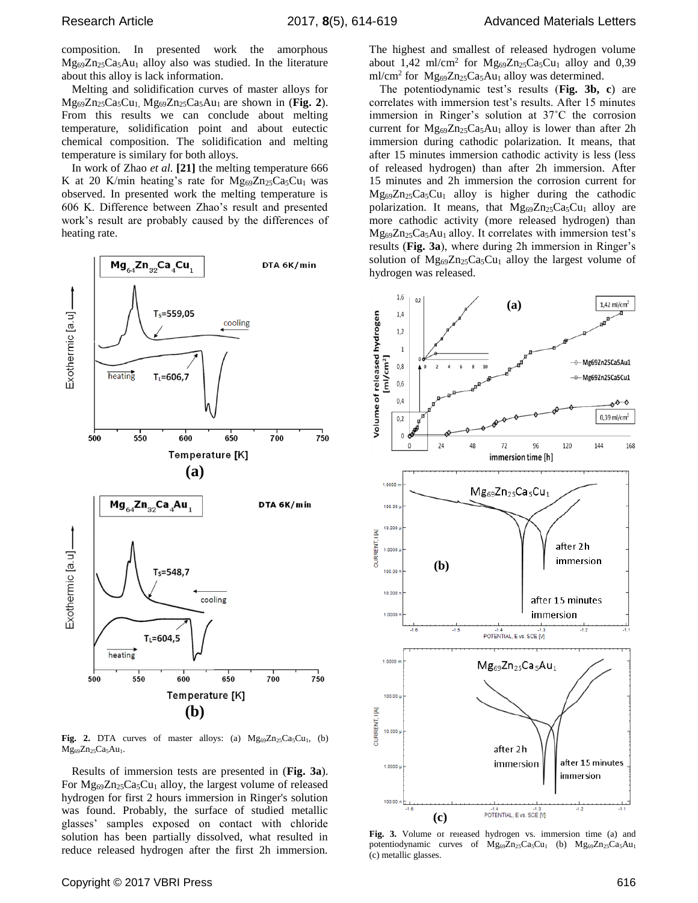composition. In presented work the amorphous Mg69Zn25Ca5Au<sup>1</sup> alloy also was studied. In the literature about this alloy is lack information.

Melting and solidification curves of master alloys for Mg69Zn25Ca5Cu1, Mg69Zn25Ca5Au1 are shown in (**Fig. 2**). From this results we can conclude about melting temperature, solidification point and about eutectic chemical composition. The solidification and melting temperature is similary for both alloys.

In work of Zhao *et al.* **[21]** the melting temperature 666 K at 20 K/min heating's rate for  $Mg_{69}Zn_{25}Ca_5Cu_1$  was observed. In presented work the melting temperature is 606 K. Difference between Zhao's result and presented work's result are probably caused by the differences of heating rate.



Fig. 2. DTA curves of master alloys: (a)  $Mg_{69}Zn_{25}Ca_5Cu_1$ , (b)  $Mg_{69}Zn_{25}Ca_{5}Au_{1}$ .

Results of immersion tests are presented in (**Fig. 3a**). For Mg<sub>69</sub>Zn<sub>25</sub>Ca<sub>5</sub>Cu<sub>1</sub> alloy, the largest volume of released hydrogen for first 2 hours immersion in Ringer's solution was found. Probably, the surface of studied metallic glasses' samples exposed on contact with chloride solution has been partially dissolved, what resulted in reduce released hydrogen after the first 2h immersion. The highest and smallest of released hydrogen volume about 1,42 ml/cm<sup>2</sup> for  $Mg_{69}Zn_{25}Ca_5Cu_1$  alloy and 0,39 ml/cm<sup>2</sup> for  $Mg_{69}Zn_{25}Ca_5Au_1$  alloy was determined.

The potentiodynamic test's results (**Fig. 3b, c**) are correlates with immersion test's results. After 15 minutes immersion in Ringer's solution at 37˚C the corrosion current for  $Mg_{69}Zn_{25}Ca<sub>5</sub>Au<sub>1</sub>$  alloy is lower than after 2h immersion during cathodic polarization. It means, that after 15 minutes immersion cathodic activity is less (less of released hydrogen) than after 2h immersion. After 15 minutes and 2h immersion the corrosion current for  $Mg_{69}Zn_{25}Ca_{5}Cu_{1}$  alloy is higher during the cathodic polarization. It means, that  $Mg_{69}Zn_{25}Ca_5Cu_1$  alloy are more cathodic activity (more released hydrogen) than  $Mg_{69}Zn_{25}Ca<sub>5</sub>Au<sub>1</sub>$  alloy. It correlates with immersion test's results (**Fig. 3a**), where during 2h immersion in Ringer's solution of  $Mg_{69}Zn_{25}Ca_{5}Cu_{1}$  alloy the largest volume of hydrogen was released.



**Fig. 3.** Volume of released hydrogen vs. immersion time (a) and potentiodynamic curves of  $Mg_{69}Zn_{25}Ca_5Cu_1$  (b)  $Mg_{69}Zn_{25}Ca_5Au_1$ (c) metallic glasses.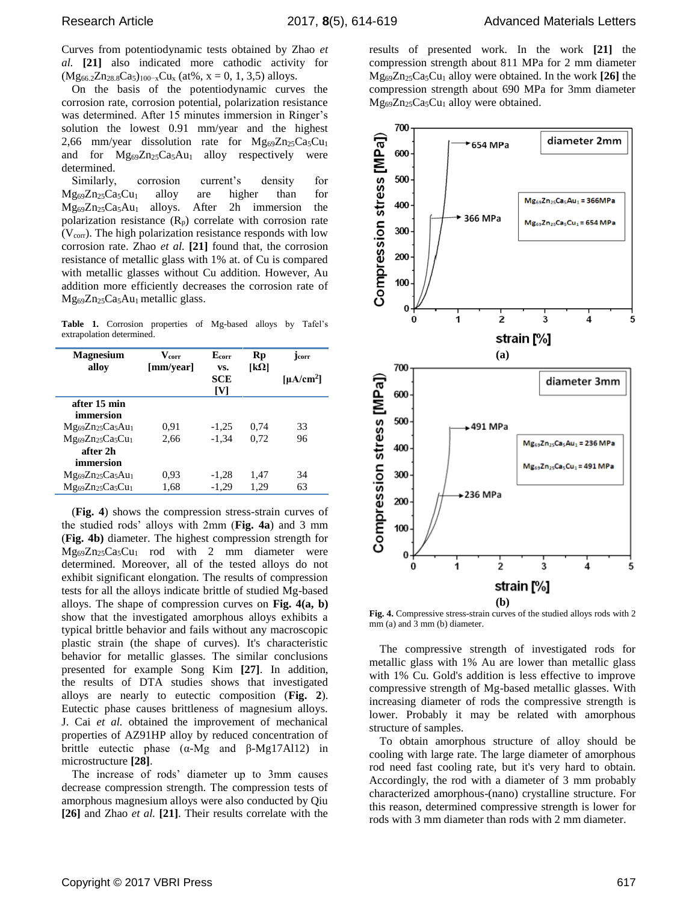Curves from potentiodynamic tests obtained by Zhao *et al.* **[21]** also indicated more cathodic activity for  $(Mg_{66.2}Zn_{28.8}Ca_5)_{100-x}Cu_x$  (at%, x = 0, 1, 3,5) alloys.

On the basis of the potentiodynamic curves the corrosion rate, corrosion potential, polarization resistance was determined. After 15 minutes immersion in Ringer's solution the lowest 0.91 mm/year and the highest 2,66 mm/year dissolution rate for  $Mg_{69}Zn_{25}Ca_5Cu_1$ and for  $Mg_{69}Zn_{25}Ca<sub>5</sub>Au<sub>1</sub>$  alloy respectively were determined.

Similarly, corrosion current's density for  $Mg_{69}Zn_{25}Ca_5Cu_1$  alloy are higher than for Mg69Zn25Ca5Au1 alloys. After 2h immersion the polarization resistance  $(R_p)$  correlate with corrosion rate  $(V_{\text{corr}})$ . The high polarization resistance responds with low corrosion rate. Zhao *et al.* **[21]** found that, the corrosion resistance of metallic glass with 1% at. of Cu is compared with metallic glasses without Cu addition. However, Au addition more efficiently decreases the corrosion rate of Mg<sub>69</sub>Zn<sub>25</sub>Ca<sub>5</sub>Au<sub>1</sub> metallic glass.

**Table 1.** Corrosion properties of Mg-based alloys by Tafel's extrapolation determined.

| <b>Magnesium</b><br>allov | $V_{\rm corr}$<br>[mm/year] | E <sub>corr</sub><br>VS. | Rp<br>[k $\Omega$ ] | <b>lcorr</b>          |
|---------------------------|-----------------------------|--------------------------|---------------------|-----------------------|
|                           |                             | <b>SCE</b><br>[V]        |                     | [µA/cm <sup>2</sup> ] |
| after 15 min              |                             |                          |                     |                       |
| immersion                 |                             |                          |                     |                       |
| $Mg_{69}Zn_{25}Ca5Au1$    | 0.91                        | $-1.25$                  | 0.74                | 33                    |
| $Mg_{69}Zn_{25}Ca_5Cu_1$  | 2.66                        | $-1.34$                  | 0.72                | 96                    |
| after 2h                  |                             |                          |                     |                       |
| immersion                 |                             |                          |                     |                       |
| $Mg_{69}Zn_{25}Ca5Au1$    | 0.93                        | -1.28                    | 1.47                | 34                    |
| $Mg_{69}Zn_{25}Ca_5Cu_1$  | 1,68                        | $-1.29$                  | 1.29                | 63                    |

(**Fig. 4**) shows the compression stress-strain curves of the studied rods' alloys with 2mm (**Fig. 4a**) and 3 mm (**Fig. 4b)** diameter. The highest compression strength for  $Mg_{69}Zn_{25}Ca_5Cu_1$  rod with 2 mm diameter were determined. Moreover, all of the tested alloys do not exhibit significant elongation. The results of compression tests for all the alloys indicate brittle of studied Mg-based alloys. The shape of compression curves on **Fig. 4(a, b)** show that the investigated amorphous alloys exhibits a typical brittle behavior and fails without any macroscopic plastic strain (the shape of curves). It's characteristic behavior for metallic glasses. The similar conclusions presented for example Song Kim **[27]**. In addition, the results of DTA studies shows that investigated alloys are nearly to eutectic composition (**Fig. 2**). Eutectic phase causes brittleness of magnesium alloys. J. Cai *et al.* obtained the improvement of mechanical properties of AZ91HP alloy by reduced concentration of brittle eutectic phase (α-Mg and β-Mg17Al12) in microstructure **[28]**.

The increase of rods' diameter up to 3mm causes decrease compression strength. The compression tests of amorphous magnesium alloys were also conducted by Qiu **[26]** and Zhao *et al.* **[21]**. Their results correlate with the

results of presented work. In the work **[21]** the compression strength about 811 MPa for 2 mm diameter Mg69Zn25Ca5Cu<sup>1</sup> alloy were obtained. In the work **[26]** the compression strength about 690 MPa for 3mm diameter  $Mg_{69}Zn_{25}Ca_5Cu_1$  alloy were obtained.



**Fig. 4.** Compressive stress-strain curves of the studied alloys rods with 2 mm (a) and 3 mm (b) diameter.

The compressive strength of investigated rods for metallic glass with 1% Au are lower than metallic glass with 1% Cu. Gold's addition is less effective to improve compressive strength of Mg-based metallic glasses. With increasing diameter of rods the compressive strength is lower. Probably it may be related with amorphous structure of samples.

To obtain amorphous structure of alloy should be cooling with large rate. The large diameter of amorphous rod need fast cooling rate, but it's very hard to obtain. Accordingly, the rod with a diameter of 3 mm probably characterized amorphous-(nano) crystalline structure. For this reason, determined compressive strength is lower for rods with 3 mm diameter than rods with 2 mm diameter.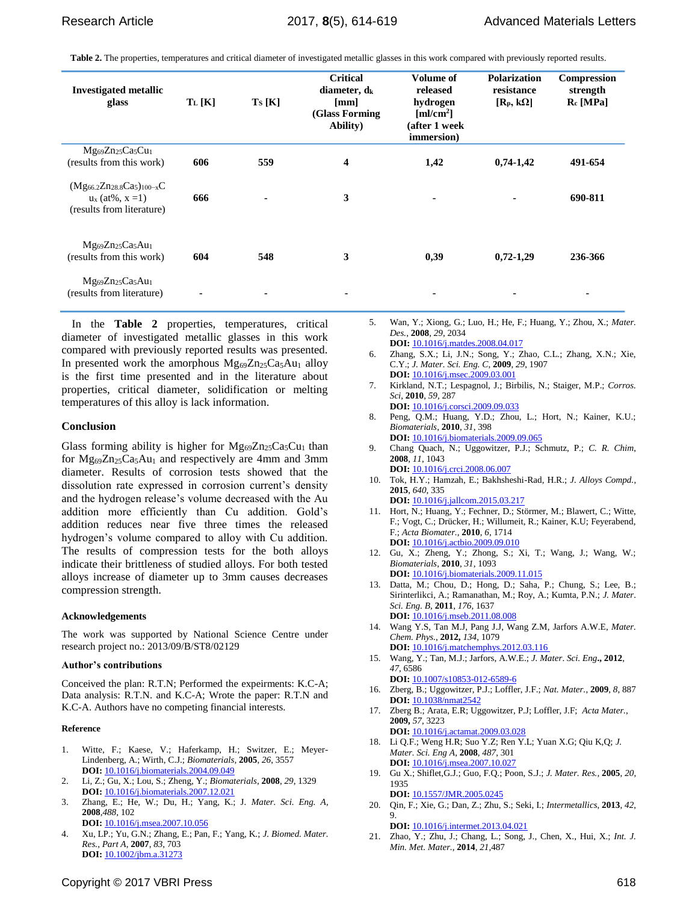**Table 2.** The properties, temperatures and critical diameter of investigated metallic glasses in this work compared with previously reported results.

| <b>Investigated metallic</b><br>glass                                                          | $T_L[K]$ | $T_S[K]$ | <b>Critical</b><br>diameter, $d_k$<br>[mm]<br>(Glass Forming<br>Ability) | Volume of<br>released<br>hydrogen<br>$\lceil \text{ml/cm}^2 \rceil$<br>(after 1 week<br>immersion) | <b>Polarization</b><br>resistance<br>$[R_p, k\Omega]$ | <b>Compression</b><br>strength<br>$R_c$ [MPa] |
|------------------------------------------------------------------------------------------------|----------|----------|--------------------------------------------------------------------------|----------------------------------------------------------------------------------------------------|-------------------------------------------------------|-----------------------------------------------|
| Mg <sub>69</sub> Zn <sub>25</sub> Ca <sub>5</sub> Cu <sub>1</sub><br>(results from this work)  | 606      | 559      | 4                                                                        | 1,42                                                                                               | $0,74-1,42$                                           | 491-654                                       |
| $(Mg_{66.2}Zn_{28.8}Ca5)_{100-x}C$<br>$u_x$ (at%, $x = 1$ )<br>(results from literature)       | 666      |          | 3                                                                        | ۰                                                                                                  | $\blacksquare$                                        | 690-811                                       |
| Mg <sub>69</sub> Zn <sub>25</sub> Ca <sub>5</sub> Au <sub>1</sub><br>(results from this work)  | 604      | 548      | 3                                                                        | 0,39                                                                                               | $0,72-1,29$                                           | 236-366                                       |
| Mg <sub>69</sub> Zn <sub>25</sub> Ca <sub>5</sub> Au <sub>1</sub><br>(results from literature) |          | ۰        | ٠                                                                        |                                                                                                    |                                                       | ۰                                             |

In the **Table 2** properties, temperatures, critical diameter of investigated metallic glasses in this work compared with previously reported results was presented. In presented work the amorphous  $Mg_{69}Zn_{25}Ca<sub>5</sub>Au<sub>1</sub>$  alloy is the first time presented and in the literature about properties, critical diameter, solidification or melting temperatures of this alloy is lack information.

#### **Conclusion**

Glass forming ability is higher for  $Mg_{69}Zn_{25}Ca_5Cu_1$  than for  $Mg_{69}Zn_{25}Ca_{5}Au_{1}$  and respectively are 4mm and 3mm diameter. Results of corrosion tests showed that the dissolution rate expressed in corrosion current's density and the hydrogen release's volume decreased with the Au addition more efficiently than Cu addition. Gold's addition reduces near five three times the released hydrogen's volume compared to alloy with Cu addition. The results of compression tests for the both alloys indicate their brittleness of studied alloys. For both tested alloys increase of diameter up to 3mm causes decreases compression strength.

#### **Acknowledgements**

The work was supported by National Science Centre under research project no.: 2013/09/B/ST8/02129

#### **Author's contributions**

Conceived the plan: R.T.N; Performed the expeirments: K.C-A; Data analysis: R.T.N. and K.C-A; Wrote the paper: R.T.N and K.C-A. Authors have no competing financial interests.

#### **Reference**

- 1. Witte, F.; Kaese, V.; Haferkamp, H.; Switzer, E.; Meyer-Lindenberg, A.; Wirth, C.J.; *Biomaterials,* **2005**, *26*, 3557 **DOI:** [10.1016/j.biomaterials.2004.09.049](http://dx.doi.org/10.1016/j.biomaterials.2004.09.049)
- 2. Li, Z.; Gu, X.; Lou, S.; Zheng, Y.; *Biomaterials*, **2008**, *29*, 1329 **DOI:** [10.1016/j.biomaterials.2007.12.021](http://dx.doi.org/10.1016/j.biomaterials.2007.12.021)
- 3. Zhang, E.; He, W.; Du, H.; Yang, K.; J. *Mater. Sci. Eng. A,* **2008**,*488*, 102 **DOI:** [10.1016/j.msea.2007.10.056](http://dx.doi.org/10.1016/j.msea.2007.10.056)
- 4. Xu, LP.; Yu, G.N.; Zhang, E.; Pan, F.; Yang, K.; *J. Biomed. Mater. Res., Part A*, **2007**, *83*, 703 **DOI:** [10.1002/jbm.a.31273](http://dx.doi.org/10.1002/jbm.a.31273)
- 5. Wan, Y.; Xiong, G.; Luo, H.; He, F.; Huang, Y.; Zhou, X.; *Mater. Des.*, **2008***, 29,* 2034 **DOI:** [10.1016/j.matdes.2008.04.017](http://dx.doi.org/10.1016/j.matdes.2008.04.017)
- 6. Zhang, S.X.; Li, J.N.; Song, Y.; Zhao, C.L.; Zhang, X.N.; Xie, C.Y.; *J. Mater. Sci. Eng. C*, **2009**, *29*, 1907 **DOI:** [10.1016/j.msec.2009.03.001](http://dx.doi.org/10.1016/j.msec.2009.03.001)
- 7. Kirkland, N.T.; Lespagnol, J.; Birbilis, N.; Staiger, M.P.; *Corros. Sci*, **2010**, *59*, 287
- **DOI:** [10.1016/j.corsci.2009.09.033](http://dx.doi.org/10.1016/j.corsci.2009.09.033)
- 8. Peng, Q.M.; Huang, Y.D.; Zhou, L.; Hort, N.; Kainer, K.U.; *Biomaterials*, **2010**, *31*, 398 **DOI:** [10.1016/j.biomaterials.2009.09.065](http://dx.doi.org/10.1016/j.biomaterials.2009.09.065)
- 9. Chang Quach, N.; Uggowitzer, P.J.; Schmutz, P.; *C. R. Chim*, **2008**, *11*, 1043 **DOI:** [10.1016/j.crci.2008.06.007](http://dx.doi.org/10.1016%2Fj.crci.2008.06.007)
- 10. Tok, H.Y.; Hamzah, E.; Bakhsheshi-Rad, H.R.; *J. Alloys Compd.*, **2015**, *640*, 335 **DOI:** [10.1016/j.jallcom.2015.03.217](http://dx.doi.org/10.1016/j.jallcom.2015.03.217)
- 11. Hort, N.; Huang, Y.; Fechner, D.; Störmer, M.; Blawert, C.; Witte, F.; Vogt, C.; Drücker, H.; Willumeit, R.; Kainer, K.U; Feyerabend, F.; *Acta Biomater.,* **2010**, *6*, 1714 **DOI:** [10.1016/j.actbio.2009.09.010](http://dx.doi.org/10.1016/j.actbio.2009.09.010)
- 12. Gu, X.; Zheng, Y.; Zhong, S.; Xi, T.; Wang, J.; Wang, W.; *Biomaterials*, **2010**, *31*, 1093
- **DOI:** [10.1016/j.biomaterials.2009.11.015](http://dx.doi.org/10.1016/j.biomaterials.2009.11.015) 13. Datta, M.; Chou, D.; Hong, D.; Saha, P.; Chung, S.; Lee, B.; Sirinterlikci, A.; Ramanathan, M.; Roy, A.; Kumta, P.N.; *J. Mater*. *Sci. Eng. B,* **2011***, 176*, 1637 **DOI:** 10.1016/j.mseb.2011.08.008
- 14. [Wang Y.S,](https://www.cheric.org/research/tech/periodicals/searchresult.php?articlesearch=Wang%20YS&searchtype=author) [Tan M.J,](https://www.cheric.org/research/tech/periodicals/searchresult.php?articlesearch=Tan%20MJ&searchtype=author) [Pang J.J,](https://www.cheric.org/research/tech/periodicals/searchresult.php?articlesearch=Pang%20JJ&searchtype=author) [Wang Z.M,](https://www.cheric.org/research/tech/periodicals/searchresult.php?articlesearch=Wang%20ZM&searchtype=author) [Jarfors A.W.E,](https://www.cheric.org/research/tech/periodicals/searchresult.php?articlesearch=Jarfors%20AWE&searchtype=author) *Mater. Chem. Phys.*, **2012,** *134*, 1079 **DOI:** [10.1016/j.matchemphys.2012.03.116](https://www.cheric.org/research/tech/periodicals/doi.php?art_seq=958629)
- 15. Wang, Y.; Tan, M.J.; Jarfors, A.W.E.; *J. Mater*. *Sci. Eng***., 2012**, *47*, 6586
- **DOI:** 10.1007/s10853-012-6589-6 16. Zberg, B.; Uggowitzer, P.J.; Loffler, J.F.; *Nat. Mater.*, **2009**, *8*, 887 **DOI:** [10.1038/nmat2542](http://dx.doi.org/10.1038/nmat2542)
- 17. Zberg B.; Arata, E.R; Uggowitzer, P.J; Loffler, J.F; *Acta Mater.*, **2009,** *57*, 3223
- **DOI:** 10.1016/j.actamat.2009.03.028 18. Li Q.F.; Weng H.R; Suo Y.Z; Ren Y.L; Yuan X.G; Qiu K,Q; *J. Mater. Sci. Eng A*, **2008**, *487*, 301 **DOI:** 10.1016/j.msea.2007.10.027
- 19. Gu X.; Shiflet,G.J.; Guo, F.Q.; Poon, S.J.; *J. Mater. Res.,* **2005**, *20*, 1935
- **DOI:** [10.1557/JMR.2005.0245](http://dx.doi.org/10.1557/JMR.2005.0245) 20. Qin, F.; Xie, G.; Dan, Z.; Zhu, S.; Seki, I.; *Intermetallics*, **2013**, *42*, 9.

**DOI:** [10.1016/j.intermet.2013.04.021](http://dx.doi.org/10.1016/j.intermet.2013.04.021) 21. Zhao, Y.; Zhu, J.; Chang, L.; Song, J., Chen, X., Hui, X.; *Int. J.* 

*Min. Met. Mater.*, **2014**, *21*,487